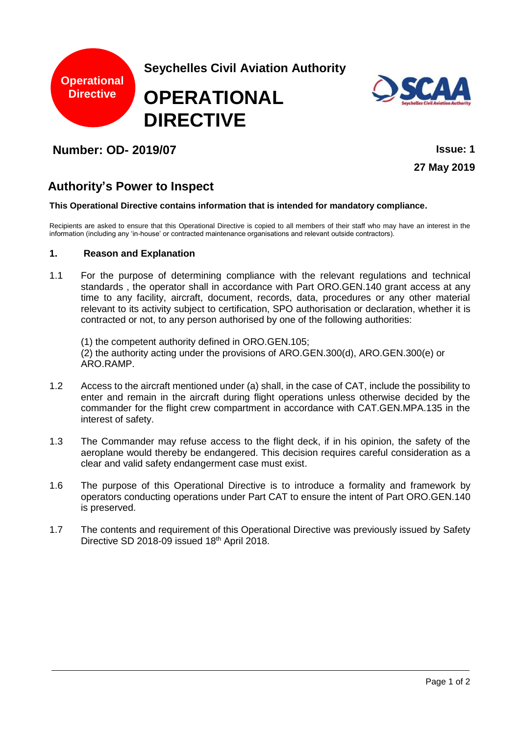

## **Number: OD- 2019/07 Issue: 1**

**27 May 2019**

# **Authority's Power to Inspect**

#### **This Operational Directive contains information that is intended for mandatory compliance.**

Recipients are asked to ensure that this Operational Directive is copied to all members of their staff who may have an interest in the information (including any 'in-house' or contracted maintenance organisations and relevant outside contractors).

### **1. Reason and Explanation**

1.1 For the purpose of determining compliance with the relevant regulations and technical standards , the operator shall in accordance with Part ORO.GEN.140 grant access at any time to any facility, aircraft, document, records, data, procedures or any other material relevant to its activity subject to certification, SPO authorisation or declaration, whether it is contracted or not, to any person authorised by one of the following authorities:

(1) the competent authority defined in ORO.GEN.105; (2) the authority acting under the provisions of ARO.GEN.300(d), ARO.GEN.300(e) or ARO.RAMP.

- 1.2 Access to the aircraft mentioned under (a) shall, in the case of CAT, include the possibility to enter and remain in the aircraft during flight operations unless otherwise decided by the commander for the flight crew compartment in accordance with CAT.GEN.MPA.135 in the interest of safety.
- 1.3 The Commander may refuse access to the flight deck, if in his opinion, the safety of the aeroplane would thereby be endangered. This decision requires careful consideration as a clear and valid safety endangerment case must exist.
- 1.6 The purpose of this Operational Directive is to introduce a formality and framework by operators conducting operations under Part CAT to ensure the intent of Part ORO.GEN.140 is preserved.
- 1.7 The contents and requirement of this Operational Directive was previously issued by Safety Directive SD 2018-09 issued 18th April 2018.